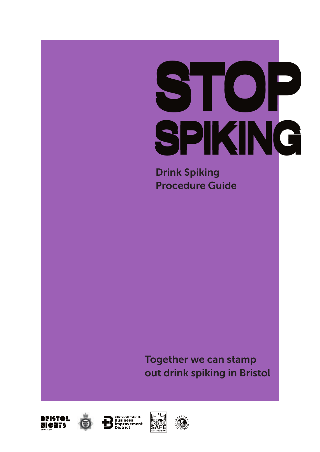# STOP SPIKING

Drink Spiking Procedure Guide

Together we can stamp out drink spiking in Bristol







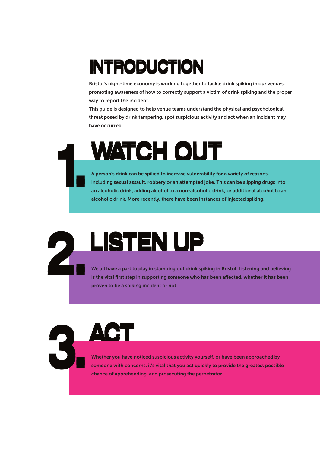# **INTRODUCTION**

Bristol's night-time economy is working together to tackle drink spiking in our venues, promoting awareness of how to correctly support a victim of drink spiking and the proper way to report the incident.

This guide is designed to help venue teams understand the physical and psychological threat posed by drink tampering, spot suspicious activity and act when an incident may have occurred.

# WATCH OUT 1.

A person's drink can be spiked to increase vulnerability for a variety of reasons, including sexual assault, robbery or an attempted joke. This can be slipping drugs into an alcoholic drink, adding alcohol to a non-alcoholic drink, or additional alcohol to an alcoholic drink. More recently, there have been instances of injected spiking.

# LISTEN UP 2.

ACT

We all have a part to play in stamping out drink spiking in Bristol. Listening and believing is the vital first step in supporting someone who has been affected, whether it has been proven to be a spiking incident or not.

3. Whether you have noticed suspicious activity yourself, or have been approached by someone with concerns, it's vital that you act quickly to provide the greatest possible chance of apprehending, and prosecuting the perpetrator.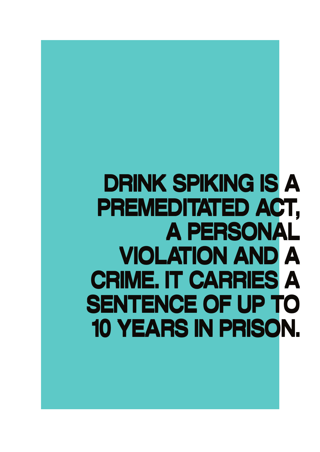DRINK SPIKING IS A DRINK SPIKING IS A PREMEDITATED ACT, PREMEDITATED ACT, A PERSONAL A PERSONAL VIOLATION AND A VIOLATION AND A CRIME. IT CARRIES A CRIME. IT CARRIES A SENTENCE OF UP TO SENTENCE OF UP TO 10 YEARS IN PRISON. 10 YEARS IN PRISON.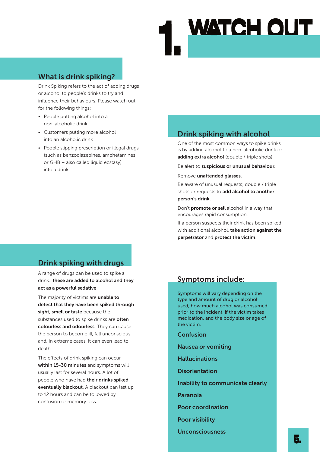# WATCH OUT

# What is drink spiking?

Drink Spiking refers to the act of adding drugs or alcohol to people's drinks to try and influence their behaviours. Please watch out for the following things:

- People putting alcohol into a non-alcoholic drink
- Customers putting more alcohol into an alcoholic drink
- People slipping prescription or illegal drugs (such as benzodiazepines, amphetamines or GHB – also called liquid ecstasy) into a drink

# Drink spiking with drugs

A range of drugs can be used to spike a drink...these are added to alcohol and they act as a powerful sedative.

The majority of victims are unable to detect that they have been spiked through sight, smell or taste because the substances used to spike drinks are often colourless and odourless. They can cause the person to become ill, fall unconscious and, in extreme cases, it can even lead to death.

The effects of drink spiking can occur within 15-30 minutes and symptoms will usually last for several hours. A lot of people who have had their drinks spiked eventually blackout. A blackout can last up to 12 hours and can be followed by confusion or memory loss.

# Drink spiking with alcohol

One of the most common ways to spike drinks is by adding alcohol to a non-alcoholic drink or adding extra alcohol (double / triple shots).

Be alert to suspicious or unusual behaviour.

Remove unattended glasses.

Be aware of unusual requests; double / triple shots or requests to add alcohol to another person's drink.

Don't promote or sell alcohol in a way that encourages rapid consumption.

If a person suspects their drink has been spiked with additional alcohol, take action against the perpetrator and protect the victim.

# Symptoms include:

Symptoms will vary depending on the type and amount of drug or alcohol used, how much alcohol was consumed prior to the incident, if the victim takes medication, and the body size or age of the victim.

Confusion

Nausea or vomiting

Hallucinations

**Disorientation** 

Inability to communicate clearly

Paranoia

Poor coordination

Poor visibility

Unconsciousness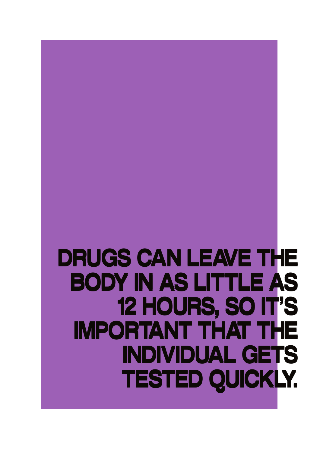# DRUGS CAN LEAVE THE DRUGS CAN LEAVE THE BODY IN AS LITTLE AS BODY IN AS LITTLE AS 12 HOURS, SO IT'S 12 HOURS, SO IT'S IMPORTANT THAT THE INDIVIDUAL GETS INDIVIDUAL GETS TESTED QUICKLY. TESTED QUICKLY.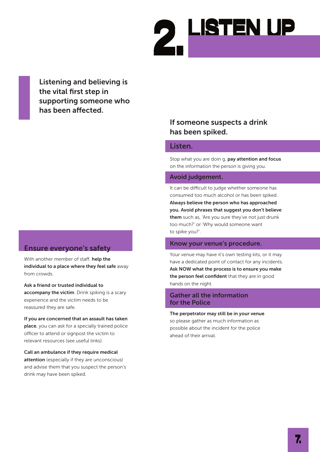

Listening and believing is the vital first step in supporting someone who has been affected.

# Ensure everyone's safety

With another member of staff, help the individual to a place where they feel safe away from crowds

Ask a friend or trusted individual to accompany the victim. Drink spiking is a scary experience and the victim needs to be reassured they are safe.

If you are concerned that an assault has taken place, you can ask for a specially trained police officer to attend or signpost the victim to relevant resources (see useful links).

Call an ambulance if they require medical attention (especially if they are unconscious) and advise them that you suspect the person's drink may have been spiked.

# If someone suspects a drink has been spiked.

# Listen.

Stop what you are doin g, pay attention and focus on the information the person is giving you.

# Avoid judgement.

It can be difficult to judge whether someone has consumed too much alcohol or has been spiked. Always believe the person who has approached you. Avoid phrases that suggest you don't believe them such as, 'Are you sure they've not just drunk too much?' or 'Why would someone want to spike you?'.

# Know your venue's procedure.

Your venue may have it's own testing kits, or it may have a dedicated point of contact for any incidents. Ask NOW what the process is to ensure you make the person feel confident that they are in good hands on the night.

# Gather all the information for the Police

ahead of their arrival.

The perpetrator may still be in your venue so please gather as much information as possible about the incident for the police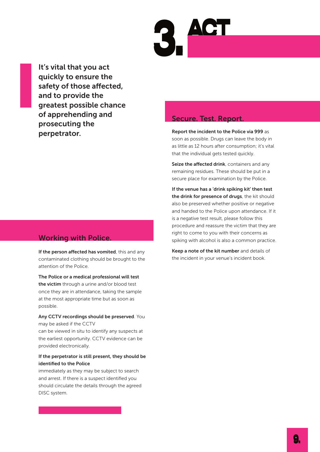It's vital that you act quickly to ensure the safety of those affected, and to provide the greatest possible chance of apprehending and prosecuting the perpetrator.

# Working with Police.

If the person affected has vomited, this and any contaminated clothing should be brought to the attention of the Police.

The Police or a medical professional will test the victim through a urine and/or blood test once they are in attendance, taking the sample at the most appropriate time but as soon as possible.

### Any CCTV recordings should be preserved. You may be asked if the CCTV

can be viewed in situ to identify any suspects at the earliest opportunity. CCTV evidence can be provided electronically.

# If the perpetrator is still present, they should be identified to the Police

immediately as they may be subject to search and arrest. If there is a suspect identified you should circulate the details through the agreed DISC system.

# Secure. Test. Report.

Report the incident to the Police via 999 as soon as possible. Drugs can leave the body in as little as 12 hours after consumption; it's vital that the individual gets tested quickly.

Seize the affected drink, containers and any remaining residues. These should be put in a secure place for examination by the Police.

If the venue has a 'drink spiking kit' then test the drink for presence of drugs, the kit should also be preserved whether positive or negative and handed to the Police upon attendance. If it is a negative test result, please follow this procedure and reassure the victim that they are right to come to you with their concerns as spiking with alcohol is also a common practice.

Keep a note of the kit number and details of the incident in your venue's incident book.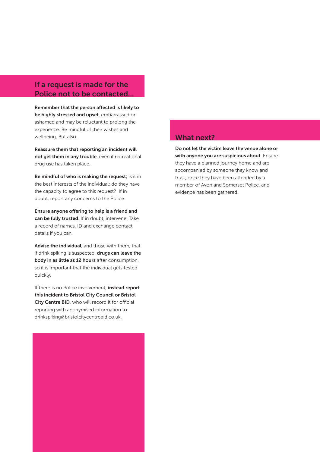# If a request is made for the Police not to be contacted.

Remember that the person affected is likely to be highly stressed and upset, embarrassed or ashamed and may be reluctant to prolong the experience. Be mindful of their wishes and wellbeing. But also…

Reassure them that reporting an incident will not get them in any trouble, even if recreational drug use has taken place.

Be mindful of who is making the request; is it in the best interests of the individual; do they have the capacity to agree to this request? If in doubt, report any concerns to the Police

Ensure anyone offering to help is a friend and can be fully trusted. If in doubt, intervene. Take a record of names, ID and exchange contact details if you can.

Advise the individual, and those with them, that if drink spiking is suspected, drugs can leave the body in as little as 12 hours after consumption, so it is important that the individual gets tested quickly.

If there is no Police involvement, instead report this incident to Bristol City Council or Bristol City Centre BID, who will record it for official reporting with anonymised information to drinkspiking@bristolcitycentrebid.co.uk.

# What next?

Do not let the victim leave the venue alone or with anyone you are suspicious about. Ensure they have a planned journey home and are accompanied by someone they know and trust, once they have been attended by a member of Avon and Somerset Police, and evidence has been gathered.